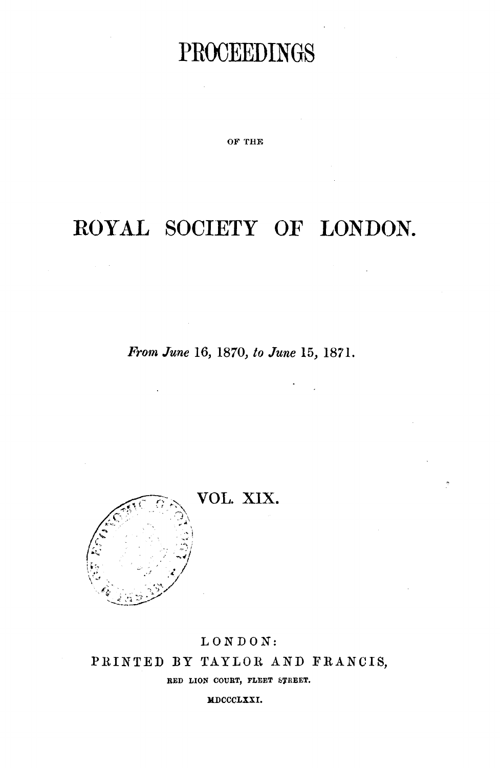# **PROCEEDINGS**

OF THE

## **ROYAL SOCIETY OF LONDON.**

*From June* 16, 1870, *to June* 15, *18i* 1.



### LONDON: PRINTED BY TAYLOR AND FRANCIS, RED LION COURT, FLEET STREET.

MDCCCLXXI.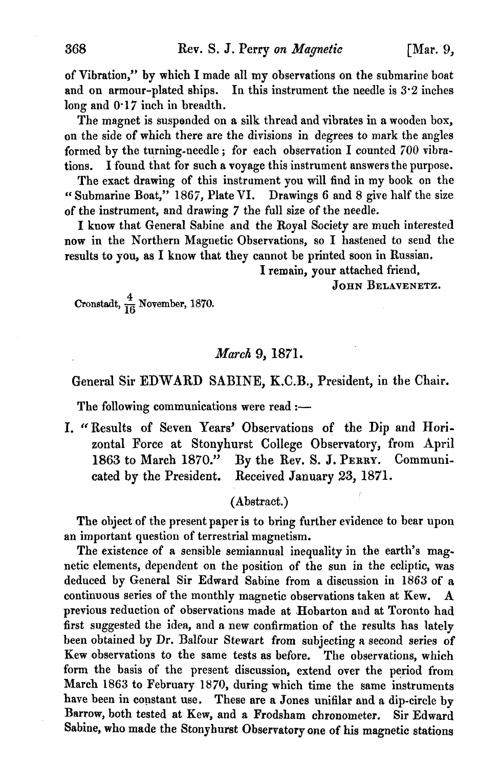of Vibration," by which I made all my observations on the submarine boat and on armour-plated ships. In this instrument the needle is  $3.2$  inches long and 0'17 inch in breadth.

The magnet is suspended on a silk thread and vibrates in a wooden box, on the side of which there are the divisions in degrees to mark the angles formed by the turning-needle; for each observation I counted 700 vibrations. I found that for such a voyage this instrument answers the purpose.

The exact drawing of this instrument you will find in my book on the "Submarine Boat," 1867, Plate VI. Drawings 6 and 8 give half the size of the instrument, and drawing 7 the full size of the needle.

I know that General Sabine and the Royal Society are much interested now in the Northern Magnetic Observations, so I hastened to send the results to you, as I know that they cannot be printed soon in Russian.

I remain, your attached friend,

JOHN BELAVENETZ.

Cronstadt,  $\frac{4}{16}$  November, 1870.

#### *March* 9, 1871.

General Sir EDWARD SABINE, K.C.B., President, in the Chair.

The following communications were read :-

I. "Results of Seven Years' Observations of the Dip and Horizontal Force at Stonyhurst College Observatory, from April 1863 to March 1870." By the Rev. S. J. PERRY. Communicated by the President. Received January 23, 187l.

#### (Abstract. )

The object of the present paper is to bring further evidence to bear upon an important question of terrestrial magnetism.

The existence of a sensible semiannual inequality in the earth's magnetic elements, dependent on the position of the sun in the ecliptic, was deduced by General Sir Edward Sabine from a discussion in 1863 of a continuous series of the monthly magnetic observations taken at Kew. A previous reduction of observations made at .Hobarton and at Toronto had first suggested the idea, and a new confirmation of the results has lately been obtained by Dr. Balfour Stewart from subjecting a second series of Kew observations to the same tests as before. The observations, which form the basis of the present discussion, extend over the period from March 1863 to February 1870, during which time the same instruments have been in constant use. These are a Jones unifilar and a dip-circle by Barrow, both tested at Kew, and a Frodsham chronometer. Sir Edward Sabine, who made the Stonyhurst Observatory one of his magnetic stations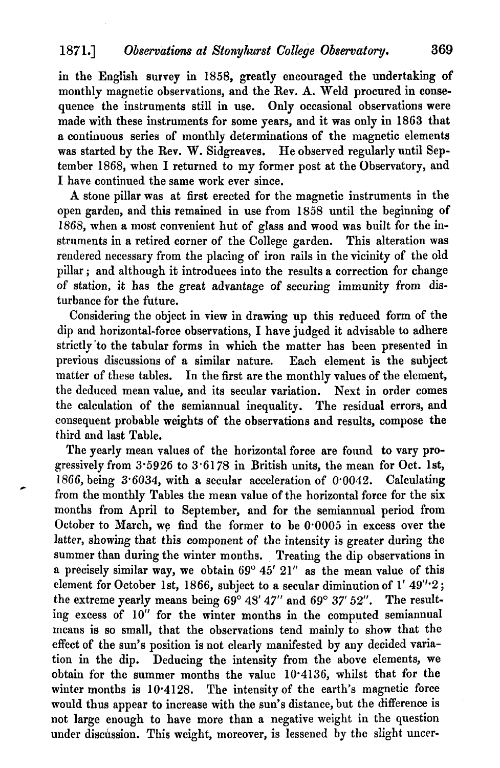#### 1871.] *Observations at Stonykurst College Observatory.* 369

in the English survey in 1858, greatly encouraged the undertaking of monthly magnetic observations, and the Rev. A. Weld procured in consequence the instruments still in use. Only occasional observations were made with these instruments for some years, and it was only in 1863 that a continuous series of monthly determinations of the magnetic elements was started by the Rev. W. Sidgreaves. He observed regularly until September 1868, when I returned to my former post at the Observatory, and I have continued the same work ever since.

A stone pillar was at first erected for the magnetic instruments in the open garden, and this remained in use from 1858 until the beginning of 1868, when a most convenient hut of glass and wood was built for the instruments in a retired corner of the College garden. This alteration was rendered necessary from the placing of iron rails in the vicinity of the old pillar; and although it introduces into the results a correction for change of station, it has the great advantage of securing immunity from disturbance for the future.

Considering the object in view in drawing up this reduced form of the dip and horizontal-force observations, I have judged it advisable to adhere strictly to the tabular forms in which the matter has been presented in previous discussions of a similar nature. Each element is the subject matter of these tables. In the first are the monthly values of the element, the deduced mean value, and its secular variation. Next in order comes the calculation of the semiannual inequality. The residual errors, and consequent probable weights of the observations and results, compose the third and last Table.

The yearly mean values of the horizontal force are found to vary progressively from 3'5926 to 3'6178 in British units, the mean for Oct. lst, 1866, being 3'6034, with a secular acceleration of 0'0042. Calculating from the monthly Tables the mean value of the horizontal force for the six months from April to September, and for the semiannual period from October to March, we find the former to be  $0.0005$  in excess over the latter, showing that this component of the intensity is greater during the summer than during the winter months. Treating the dip observations in a precisely similar way, we obtain 69° 45' 21" as the mean value of this element for October 1st, 1866, subject to a secular diminution of 1' 49".2; the extreme yearly means being  $69^{\circ}$  48' 47" and  $69^{\circ}$  37' 52". The resulting excess of 10" for the winter months in the computed semiannual means is so small, that the observations tend mainly to show that the effect of the sun's position is not clearly manifested by any decided variation in the dip. Deducing the intensity from the above elements, we obtain for the summer months the value 10'4136, whilst that for the winter months is 10'4128. The intensity of the earth's magnetic force would thus appear to increase with the sun's distance, but the difference is not large enough to have more than a negative weight in the question under discussion. This weight, moreover, is lessened by the slight uncer